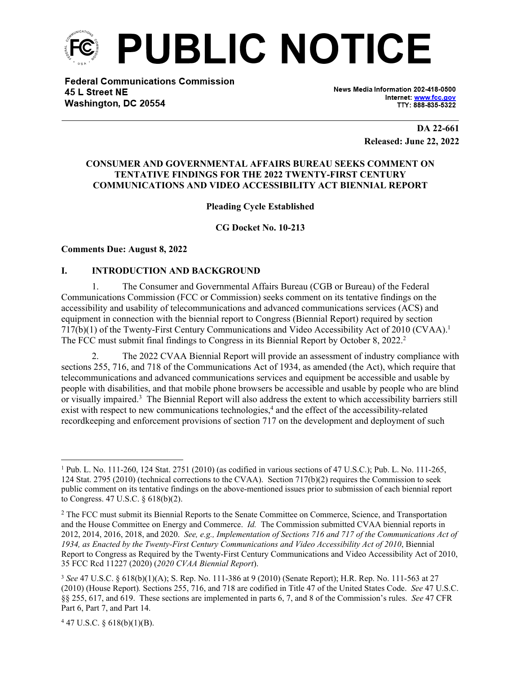

**Federal Communications Commission** 45 L Street NE Washington, DC 20554

News Media Information 202-418-0500 Internet: www.fcc.gov TTY: 888-835-5322

> **DA 22-661 Released: June 22, 2022**

#### **CONSUMER AND GOVERNMENTAL AFFAIRS BUREAU SEEKS COMMENT ON TENTATIVE FINDINGS FOR THE 2022 TWENTY-FIRST CENTURY COMMUNICATIONS AND VIDEO ACCESSIBILITY ACT BIENNIAL REPORT**

# **Pleading Cycle Established**

**CG Docket No. 10-213**

#### **Comments Due: August 8, 2022**

#### **I. INTRODUCTION AND BACKGROUND**

1. The Consumer and Governmental Affairs Bureau (CGB or Bureau) of the Federal Communications Commission (FCC or Commission) seeks comment on its tentative findings on the accessibility and usability of telecommunications and advanced communications services (ACS) and equipment in connection with the biennial report to Congress (Biennial Report) required by section 717(b)(1) of the Twenty-First Century Communications and Video Accessibility Act of 2010 (CVAA).<sup>1</sup> The FCC must submit final findings to Congress in its Biennial Report by October 8, 2022.<sup>2</sup>

2. The 2022 CVAA Biennial Report will provide an assessment of industry compliance with sections 255, 716, and 718 of the Communications Act of 1934, as amended (the Act), which require that telecommunications and advanced communications services and equipment be accessible and usable by people with disabilities, and that mobile phone browsers be accessible and usable by people who are blind or visually impaired.<sup>3</sup> The Biennial Report will also address the extent to which accessibility barriers still exist with respect to new communications technologies,<sup>4</sup> and the effect of the accessibility-related recordkeeping and enforcement provisions of section 717 on the development and deployment of such

 $447$  U.S.C. § 618(b)(1)(B).

<sup>1</sup> Pub. L. No. 111-260, 124 Stat. 2751 (2010) (as codified in various sections of 47 U.S.C.); Pub. L. No. 111-265, 124 Stat. 2795 (2010) (technical corrections to the CVAA). Section 717(b)(2) requires the Commission to seek public comment on its tentative findings on the above-mentioned issues prior to submission of each biennial report to Congress. 47 U.S.C. § 618(b)(2).

<sup>&</sup>lt;sup>2</sup> The FCC must submit its Biennial Reports to the Senate Committee on Commerce, Science, and Transportation and the House Committee on Energy and Commerce. *Id.* The Commission submitted CVAA biennial reports in 2012, 2014, 2016, 2018, and 2020. *See, e.g., Implementation of Sections 716 and 717 of the Communications Act of 1934, as Enacted by the Twenty-First Century Communications and Video Accessibility Act of 2010*, Biennial Report to Congress as Required by the Twenty-First Century Communications and Video Accessibility Act of 2010, 35 FCC Rcd 11227 (2020) (*2020 CVAA Biennial Report*).

<sup>3</sup> *See* 47 U.S.C. § 618(b)(1)(A); S. Rep. No. 111-386 at 9 (2010) (Senate Report); H.R. Rep. No. 111-563 at 27 (2010) (House Report)*.* Sections 255, 716, and 718 are codified in Title 47 of the United States Code. *See* 47 U.S.C. §§ 255, 617, and 619. These sections are implemented in parts 6, 7, and 8 of the Commission's rules. *See* 47 CFR Part 6, Part 7, and Part 14.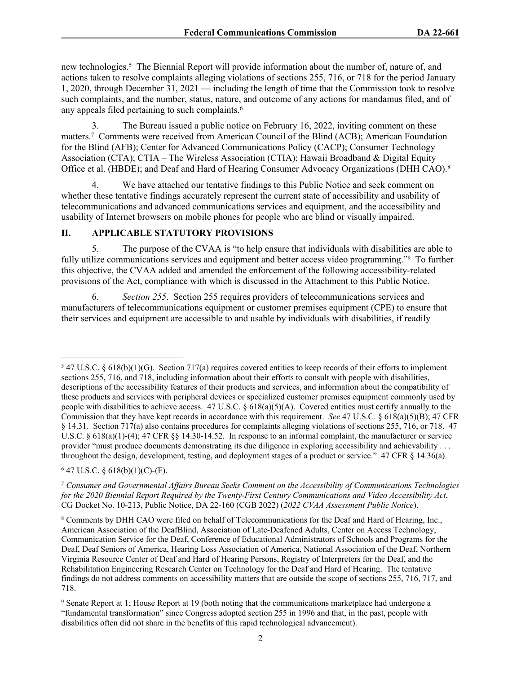new technologies.<sup>5</sup> The Biennial Report will provide information about the number of, nature of, and actions taken to resolve complaints alleging violations of sections 255, 716, or 718 for the period January 1, 2020, through December 31, 2021 — including the length of time that the Commission took to resolve such complaints, and the number, status, nature, and outcome of any actions for mandamus filed, and of any appeals filed pertaining to such complaints.<sup>6</sup>

3. The Bureau issued a public notice on February 16, 2022, inviting comment on these matters.<sup>7</sup> Comments were received from American Council of the Blind (ACB); American Foundation for the Blind (AFB); Center for Advanced Communications Policy (CACP); Consumer Technology Association (CTA); CTIA – The Wireless Association (CTIA); Hawaii Broadband & Digital Equity Office et al. (HBDE); and Deaf and Hard of Hearing Consumer Advocacy Organizations (DHH CAO).<sup>8</sup>

4. We have attached our tentative findings to this Public Notice and seek comment on whether these tentative findings accurately represent the current state of accessibility and usability of telecommunications and advanced communications services and equipment, and the accessibility and usability of Internet browsers on mobile phones for people who are blind or visually impaired.

# **II. APPLICABLE STATUTORY PROVISIONS**

5. The purpose of the CVAA is "to help ensure that individuals with disabilities are able to fully utilize communications services and equipment and better access video programming."<sup>9</sup> To further this objective, the CVAA added and amended the enforcement of the following accessibility-related provisions of the Act, compliance with which is discussed in the Attachment to this Public Notice.

6. *Section 255*. Section 255 requires providers of telecommunications services and manufacturers of telecommunications equipment or customer premises equipment (CPE) to ensure that their services and equipment are accessible to and usable by individuals with disabilities, if readily

 $647$  U.S.C. § 618(b)(1)(C)-(F).

 $547$  U.S.C. § 618(b)(1)(G). Section 717(a) requires covered entities to keep records of their efforts to implement sections 255, 716, and 718, including information about their efforts to consult with people with disabilities, descriptions of the accessibility features of their products and services, and information about the compatibility of these products and services with peripheral devices or specialized customer premises equipment commonly used by people with disabilities to achieve access. 47 U.S.C. §  $618(a)(5)(A)$ . Covered entities must certify annually to the Commission that they have kept records in accordance with this requirement. *See* 47 U.S.C. § 618(a)(5)(B); 47 CFR § 14.31. Section 717(a) also contains procedures for complaints alleging violations of sections 255, 716, or 718. 47 U.S.C. § 618(a)(1)-(4); 47 CFR §§ 14.30-14.52. In response to an informal complaint, the manufacturer or service provider "must produce documents demonstrating its due diligence in exploring accessibility and achievability . . . throughout the design, development, testing, and deployment stages of a product or service." 47 CFR § 14.36(a).

<sup>7</sup>  *Consumer and Governmental Affairs Bureau Seeks Comment on the Accessibility of Communications Technologies for the 2020 Biennial Report Required by the Twenty-First Century Communications and Video Accessibility Act*, CG Docket No. 10-213, Public Notice, DA 22-160 (CGB 2022) (*2022 CVAA Assessment Public Notice*).

<sup>8</sup> Comments by DHH CAO were filed on behalf of Telecommunications for the Deaf and Hard of Hearing, Inc., American Association of the DeafBlind, Association of Late-Deafened Adults, Center on Access Technology, Communication Service for the Deaf, Conference of Educational Administrators of Schools and Programs for the Deaf, Deaf Seniors of America, Hearing Loss Association of America, National Association of the Deaf, Northern Virginia Resource Center of Deaf and Hard of Hearing Persons, Registry of Interpreters for the Deaf, and the Rehabilitation Engineering Research Center on Technology for the Deaf and Hard of Hearing. The tentative findings do not address comments on accessibility matters that are outside the scope of sections 255, 716, 717, and 718.

<sup>&</sup>lt;sup>9</sup> Senate Report at 1; House Report at 19 (both noting that the communications marketplace had undergone a "fundamental transformation" since Congress adopted section 255 in 1996 and that, in the past, people with disabilities often did not share in the benefits of this rapid technological advancement).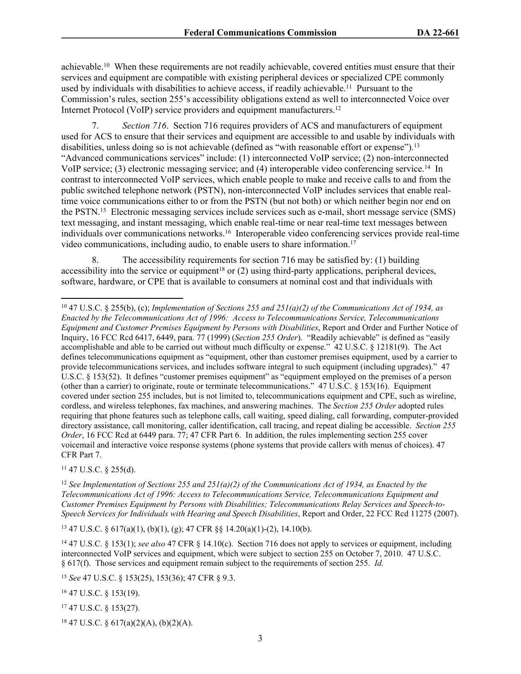achievable.<sup>10</sup> When these requirements are not readily achievable, covered entities must ensure that their services and equipment are compatible with existing peripheral devices or specialized CPE commonly used by individuals with disabilities to achieve access, if readily achievable.<sup>11</sup> Pursuant to the Commission's rules, section 255's accessibility obligations extend as well to interconnected Voice over Internet Protocol (VoIP) service providers and equipment manufacturers.<sup>12</sup>

7. *Section 716*. Section 716 requires providers of ACS and manufacturers of equipment used for ACS to ensure that their services and equipment are accessible to and usable by individuals with disabilities, unless doing so is not achievable (defined as "with reasonable effort or expense").<sup>13</sup> "Advanced communications services" include: (1) interconnected VoIP service; (2) non-interconnected VoIP service; (3) electronic messaging service; and (4) interoperable video conferencing service.<sup>14</sup> In contrast to interconnected VoIP services, which enable people to make and receive calls to and from the public switched telephone network (PSTN), non-interconnected VoIP includes services that enable realtime voice communications either to or from the PSTN (but not both) or which neither begin nor end on the PSTN.<sup>15</sup> Electronic messaging services include services such as e-mail, short message service (SMS) text messaging, and instant messaging, which enable real-time or near real-time text messages between individuals over communications networks.<sup>16</sup> Interoperable video conferencing services provide real-time video communications, including audio, to enable users to share information.<sup>17</sup>

8. The accessibility requirements for section 716 may be satisfied by: (1) building accessibility into the service or equipment<sup>18</sup> or  $(2)$  using third-party applications, peripheral devices, software, hardware, or CPE that is available to consumers at nominal cost and that individuals with

 $11$  47 U.S.C. § 255(d).

<sup>13</sup> 47 U.S.C. § 617(a)(1), (b)(1), (g); 47 CFR §§ 14.20(a)(1)-(2), 14.10(b).

<sup>15</sup> *See* 47 U.S.C. § 153(25), 153(36); 47 CFR § 9.3.

<sup>16</sup> 47 U.S.C. § 153(19).

<sup>17</sup> 47 U.S.C. § 153(27).

18 47 U.S.C. § 617(a)(2)(A), (b)(2)(A).

<sup>10</sup> 47 U.S.C. § 255(b), (c); *Implementation of Sections 255 and 251(a)(2) of the Communications Act of 1934, as Enacted by the Telecommunications Act of 1996: Access to Telecommunications Service, Telecommunications Equipment and Customer Premises Equipment by Persons with Disabilities*, Report and Order and Further Notice of Inquiry, 16 FCC Rcd 6417, 6449, para. 77 (1999) (*Section 255 Order*). "Readily achievable" is defined as "easily accomplishable and able to be carried out without much difficulty or expense." 42 U.S.C. § 12181(9). The Act defines telecommunications equipment as "equipment, other than customer premises equipment, used by a carrier to provide telecommunications services, and includes software integral to such equipment (including upgrades)." 47 U.S.C. § 153(52). It defines "customer premises equipment" as "equipment employed on the premises of a person (other than a carrier) to originate, route or terminate telecommunications." 47 U.S.C. § 153(16). Equipment covered under section 255 includes, but is not limited to, telecommunications equipment and CPE, such as wireline, cordless, and wireless telephones, fax machines, and answering machines. The *Section 255 Order* adopted rules requiring that phone features such as telephone calls, call waiting, speed dialing, call forwarding, computer-provided directory assistance, call monitoring, caller identification, call tracing, and repeat dialing be accessible. *Section 255 Order*, 16 FCC Rcd at 6449 para. 77; 47 CFR Part 6. In addition, the rules implementing section 255 cover voicemail and interactive voice response systems (phone systems that provide callers with menus of choices). 47 CFR Part 7.

<sup>12</sup> *See Implementation of Sections 255 and 251(a)(2) of the Communications Act of 1934, as Enacted by the Telecommunications Act of 1996: Access to Telecommunications Service, Telecommunications Equipment and Customer Premises Equipment by Persons with Disabilities; Telecommunications Relay Services and Speech-to-Speech Services for Individuals with Hearing and Speech Disabilities*, Report and Order, 22 FCC Rcd 11275 (2007).

<sup>14</sup> 47 U.S.C. § 153(1); *see also* 47 CFR § 14.10(c). Section 716 does not apply to services or equipment, including interconnected VoIP services and equipment, which were subject to section 255 on October 7, 2010. 47 U.S.C. § 617(f). Those services and equipment remain subject to the requirements of section 255. *Id.*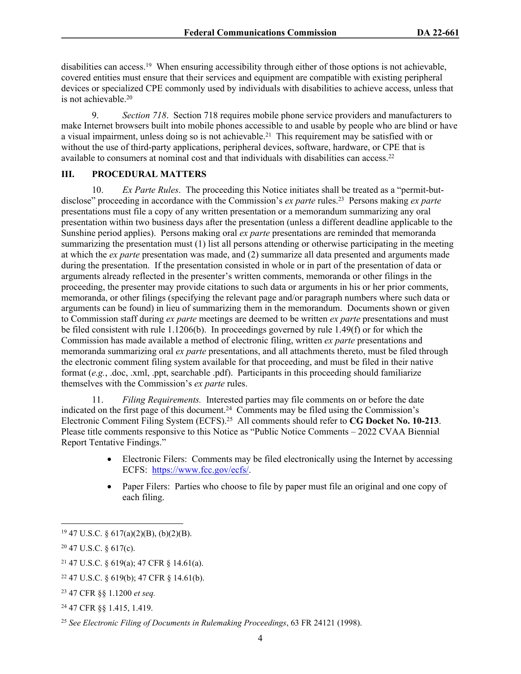disabilities can access.<sup>19</sup> When ensuring accessibility through either of those options is not achievable, covered entities must ensure that their services and equipment are compatible with existing peripheral devices or specialized CPE commonly used by individuals with disabilities to achieve access, unless that is not achievable.<sup>20</sup>

9. *Section 718*. Section 718 requires mobile phone service providers and manufacturers to make Internet browsers built into mobile phones accessible to and usable by people who are blind or have a visual impairment, unless doing so is not achievable.<sup>21</sup> This requirement may be satisfied with or without the use of third-party applications, peripheral devices, software, hardware, or CPE that is available to consumers at nominal cost and that individuals with disabilities can access.<sup>22</sup>

### **III. PROCEDURAL MATTERS**

10. *Ex Parte Rules*. The proceeding this Notice initiates shall be treated as a "permit-butdisclose" proceeding in accordance with the Commission's *ex parte* rules.<sup>23</sup> Persons making *ex parte*  presentations must file a copy of any written presentation or a memorandum summarizing any oral presentation within two business days after the presentation (unless a different deadline applicable to the Sunshine period applies). Persons making oral *ex parte* presentations are reminded that memoranda summarizing the presentation must (1) list all persons attending or otherwise participating in the meeting at which the *ex parte* presentation was made, and (2) summarize all data presented and arguments made during the presentation. If the presentation consisted in whole or in part of the presentation of data or arguments already reflected in the presenter's written comments, memoranda or other filings in the proceeding, the presenter may provide citations to such data or arguments in his or her prior comments, memoranda, or other filings (specifying the relevant page and/or paragraph numbers where such data or arguments can be found) in lieu of summarizing them in the memorandum. Documents shown or given to Commission staff during *ex parte* meetings are deemed to be written *ex parte* presentations and must be filed consistent with rule 1.1206(b). In proceedings governed by rule 1.49(f) or for which the Commission has made available a method of electronic filing, written *ex parte* presentations and memoranda summarizing oral *ex parte* presentations, and all attachments thereto, must be filed through the electronic comment filing system available for that proceeding, and must be filed in their native format (*e.g.*, .doc, .xml, .ppt, searchable .pdf). Participants in this proceeding should familiarize themselves with the Commission's *ex parte* rules.

11. *Filing Requirements.* Interested parties may file comments on or before the date indicated on the first page of this document.<sup>24</sup> Comments may be filed using the Commission's Electronic Comment Filing System (ECFS).<sup>25</sup> All comments should refer to **CG Docket No. 10-213**. Please title comments responsive to this Notice as "Public Notice Comments – 2022 CVAA Biennial Report Tentative Findings."

- Electronic Filers: Comments may be filed electronically using the Internet by accessing ECFS: <https://www.fcc.gov/ecfs/>.
- Paper Filers: Parties who choose to file by paper must file an original and one copy of each filing.

 $19\,47$  U.S.C. § 617(a)(2)(B), (b)(2)(B).

<sup>20</sup> 47 U.S.C. § 617(c).

<sup>21</sup> 47 U.S.C. § 619(a); 47 CFR § 14.61(a).

 $22$  47 U.S.C. § 619(b); 47 CFR § 14.61(b).

<sup>23</sup> 47 CFR §§ 1.1200 *et seq.*

<sup>24</sup> 47 CFR §§ 1.415, 1.419.

<sup>25</sup> *See Electronic Filing of Documents in Rulemaking Proceedings*, 63 FR 24121 (1998).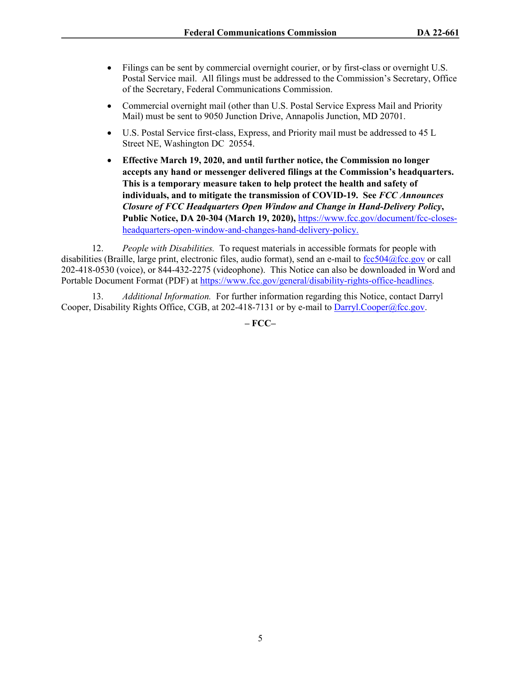- Filings can be sent by commercial overnight courier, or by first-class or overnight U.S. Postal Service mail. All filings must be addressed to the Commission's Secretary, Office of the Secretary, Federal Communications Commission.
- Commercial overnight mail (other than U.S. Postal Service Express Mail and Priority Mail) must be sent to 9050 Junction Drive, Annapolis Junction, MD 20701.
- U.S. Postal Service first-class, Express, and Priority mail must be addressed to 45 L Street NE, Washington DC 20554.
- **Effective March 19, 2020, and until further notice, the Commission no longer accepts any hand or messenger delivered filings at the Commission's headquarters. This is a temporary measure taken to help protect the health and safety of individuals, and to mitigate the transmission of COVID-19. See** *FCC Announces Closure of FCC Headquarters Open Window and Change in Hand-Delivery Policy***, Public Notice, DA 20-304 (March 19, 2020),** [https://www.fcc.gov/document/fcc-closes](https://www.fcc.gov/document/fcc-closes-headquarters-open-window-and-changes-hand-delivery-policy)[headquarters-open-window-and-changes-hand-delivery-policy.](https://www.fcc.gov/document/fcc-closes-headquarters-open-window-and-changes-hand-delivery-policy)

12. *People with Disabilities.* To request materials in accessible formats for people with disabilities (Braille, large print, electronic files, audio format), send an e-mail to [fcc504@fcc.gov](mailto:fcc504@fcc.gov) or call 202-418-0530 (voice), or 844-432-2275 (videophone). This Notice can also be downloaded in Word and Portable Document Format (PDF) at [https://www.fcc.gov/general/disability-rights-office-headlines.](https://www.fcc.gov/general/disability-rights-office-headlines)

13. *Additional Information.* For further information regarding this Notice, contact Darryl Cooper, Disability Rights Office, CGB, at 202-418-7131 or by e-mail to [Darryl.Cooper@fcc.gov](mailto:Darryl.Cooper@fcc.gov).

**– FCC–**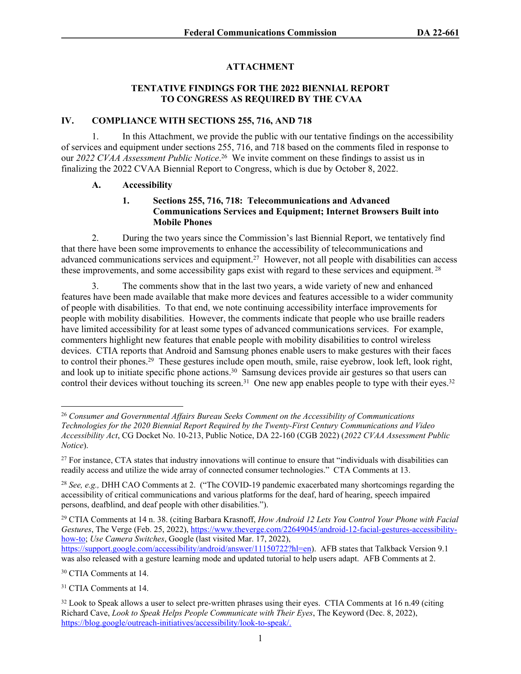# **ATTACHMENT**

#### **TENTATIVE FINDINGS FOR THE 2022 BIENNIAL REPORT TO CONGRESS AS REQUIRED BY THE CVAA**

#### **IV. COMPLIANCE WITH SECTIONS 255, 716, AND 718**

1. In this Attachment, we provide the public with our tentative findings on the accessibility of services and equipment under sections 255, 716, and 718 based on the comments filed in response to our *2022 CVAA Assessment Public Notice*. <sup>26</sup> We invite comment on these findings to assist us in finalizing the 2022 CVAA Biennial Report to Congress, which is due by October 8, 2022.

#### **A. Accessibility**

# **1. Sections 255, 716, 718: Telecommunications and Advanced Communications Services and Equipment; Internet Browsers Built into Mobile Phones**

2. During the two years since the Commission's last Biennial Report, we tentatively find that there have been some improvements to enhance the accessibility of telecommunications and advanced communications services and equipment.<sup>27</sup> However, not all people with disabilities can access these improvements, and some accessibility gaps exist with regard to these services and equipment.<sup>28</sup>

3. The comments show that in the last two years, a wide variety of new and enhanced features have been made available that make more devices and features accessible to a wider community of people with disabilities. To that end, we note continuing accessibility interface improvements for people with mobility disabilities. However, the comments indicate that people who use braille readers have limited accessibility for at least some types of advanced communications services. For example, commenters highlight new features that enable people with mobility disabilities to control wireless devices. CTIA reports that Android and Samsung phones enable users to make gestures with their faces to control their phones.<sup>29</sup> These gestures include open mouth, smile, raise eyebrow, look left, look right, and look up to initiate specific phone actions.<sup>30</sup> Samsung devices provide air gestures so that users can control their devices without touching its screen.<sup>31</sup> One new app enables people to type with their eyes.<sup>32</sup>

<sup>30</sup> CTIA Comments at 14.

<sup>31</sup> CTIA Comments at 14.

<sup>26</sup> *Consumer and Governmental Affairs Bureau Seeks Comment on the Accessibility of Communications Technologies for the 2020 Biennial Report Required by the Twenty-First Century Communications and Video Accessibility Act*, CG Docket No. 10-213, Public Notice, DA 22-160 (CGB 2022) (*2022 CVAA Assessment Public Notice*).

 $27$  For instance, CTA states that industry innovations will continue to ensure that "individuals with disabilities can readily access and utilize the wide array of connected consumer technologies." CTA Comments at 13.

<sup>28</sup> *See, e.g.,* DHH CAO Comments at 2. ("The COVID-19 pandemic exacerbated many shortcomings regarding the accessibility of critical communications and various platforms for the deaf, hard of hearing, speech impaired persons, deafblind, and deaf people with other disabilities.").

<sup>29</sup> CTIA Comments at 14 n. 38. (citing Barbara Krasnoff, *How Android 12 Lets You Control Your Phone with Facial Gestures*, The Verge (Feb. 25, 2022), [https://www.theverge.com/22649045/android-12-facial-gestures-accessibility](https://www.theverge.com/22649045/android-12-facial-gestures-accessibility-how-to)[how-to](https://www.theverge.com/22649045/android-12-facial-gestures-accessibility-how-to); *Use Camera Switches*, Google (last visited Mar. 17, 2022), [https://support.google.com/accessibility/android/answer/11150722?hl=en\)](https://support.google.com/accessibility/android/answer/11150722?hl=en). AFB states that Talkback Version 9.1

was also released with a gesture learning mode and updated tutorial to help users adapt. AFB Comments at 2.

<sup>&</sup>lt;sup>32</sup> Look to Speak allows a user to select pre-written phrases using their eyes. CTIA Comments at 16 n.49 (citing Richard Cave, *Look to Speak Helps People Communicate with Their Eyes*, The Keyword (Dec. 8, 2022), [https://blog.google/outreach-initiatives/accessibility/look-to-speak/.](https://blog.google/outreach-initiatives/accessibility/look-to-speak/)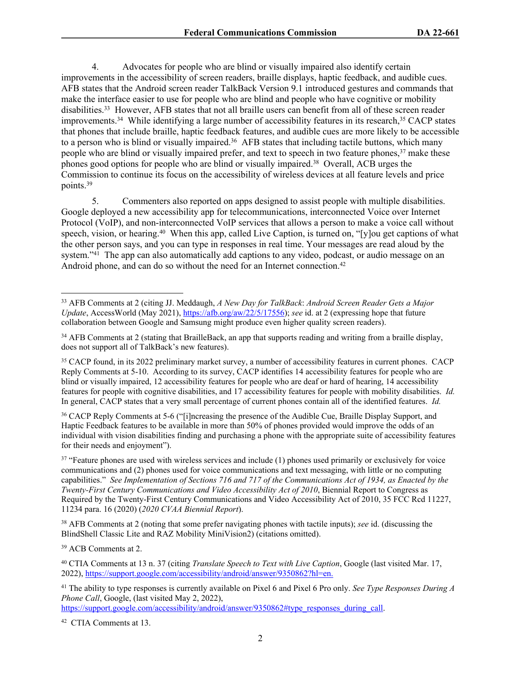4. Advocates for people who are blind or visually impaired also identify certain improvements in the accessibility of screen readers, braille displays, haptic feedback, and audible cues. AFB states that the Android screen reader TalkBack Version 9.1 introduced gestures and commands that make the interface easier to use for people who are blind and people who have cognitive or mobility disabilities.<sup>33</sup> However, AFB states that not all braille users can benefit from all of these screen reader improvements.<sup>34</sup> While identifying a large number of accessibility features in its research,<sup>35</sup> CACP states that phones that include braille, haptic feedback features, and audible cues are more likely to be accessible to a person who is blind or visually impaired.<sup>36</sup> AFB states that including tactile buttons, which many people who are blind or visually impaired prefer, and text to speech in two feature phones,<sup>37</sup> make these phones good options for people who are blind or visually impaired.<sup>38</sup> Overall, ACB urges the Commission to continue its focus on the accessibility of wireless devices at all feature levels and price points.<sup>39</sup>

5. Commenters also reported on apps designed to assist people with multiple disabilities. Google deployed a new accessibility app for telecommunications, interconnected Voice over Internet Protocol (VoIP), and non-interconnected VoIP services that allows a person to make a voice call without speech, vision, or hearing.<sup>40</sup> When this app, called Live Caption, is turned on, "[y]ou get captions of what the other person says, and you can type in responses in real time. Your messages are read aloud by the system."<sup>41</sup> The app can also automatically add captions to any video, podcast, or audio message on an Android phone, and can do so without the need for an Internet connection.<sup>42</sup>

<sup>36</sup> CACP Reply Comments at 5-6 ("[i]ncreasing the presence of the Audible Cue, Braille Display Support, and Haptic Feedback features to be available in more than 50% of phones provided would improve the odds of an individual with vision disabilities finding and purchasing a phone with the appropriate suite of accessibility features for their needs and enjoyment").

<sup>37</sup> "Feature phones are used with wireless services and include (1) phones used primarily or exclusively for voice communications and (2) phones used for voice communications and text messaging, with little or no computing capabilities." *See Implementation of Sections 716 and 717 of the Communications Act of 1934, as Enacted by the Twenty-First Century Communications and Video Accessibility Act of 2010*, Biennial Report to Congress as Required by the Twenty-First Century Communications and Video Accessibility Act of 2010, 35 FCC Rcd 11227, 11234 para. 16 (2020) (*2020 CVAA Biennial Report*).

<sup>38</sup> AFB Comments at 2 (noting that some prefer navigating phones with tactile inputs); *see* id. (discussing the BlindShell Classic Lite and RAZ Mobility MiniVision2) (citations omitted).

<sup>39</sup> ACB Comments at 2.

<sup>40</sup> CTIA Comments at 13 n. 37 (citing *Translate Speech to Text with Live Caption*, Google (last visited Mar. 17, 2022),<https://support.google.com/accessibility/android/answer/9350862?hl=en>.

<sup>41</sup> The ability to type responses is currently available on Pixel 6 and Pixel 6 Pro only. *See Type Responses During A Phone Call*, Google, (last visited May 2, 2022),

[https://support.google.com/accessibility/android/answer/9350862#type\\_responses\\_during\\_call](https://support.google.com/accessibility/android/answer/9350862#type_responses_during_call).

42 CTIA Comments at 13.

<sup>33</sup> AFB Comments at 2 (citing JJ. Meddaugh, *A New Day for TalkBack*: *Android Screen Reader Gets a Major Update*, AccessWorld (May 2021),<https://afb.org/aw/22/5/17556>); *see* id. at 2 (expressing hope that future collaboration between Google and Samsung might produce even higher quality screen readers).

<sup>&</sup>lt;sup>34</sup> AFB Comments at 2 (stating that BrailleBack, an app that supports reading and writing from a braille display, does not support all of TalkBack's new features).

<sup>35</sup> CACP found, in its 2022 preliminary market survey, a number of accessibility features in current phones. CACP Reply Comments at 5-10. According to its survey, CACP identifies 14 accessibility features for people who are blind or visually impaired, 12 accessibility features for people who are deaf or hard of hearing, 14 accessibility features for people with cognitive disabilities, and 17 accessibility features for people with mobility disabilities. *Id.* In general, CACP states that a very small percentage of current phones contain all of the identified features. *Id.*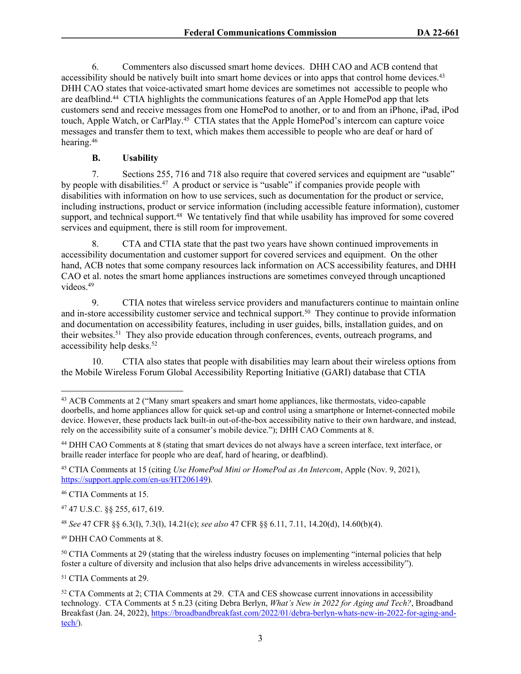6. Commenters also discussed smart home devices. DHH CAO and ACB contend that accessibility should be natively built into smart home devices or into apps that control home devices.<sup>43</sup> DHH CAO states that voice-activated smart home devices are sometimes not accessible to people who are deafblind.<sup>44</sup> CTIA highlights the communications features of an Apple HomePod app that lets customers send and receive messages from one HomePod to another, or to and from an iPhone, iPad, iPod touch, Apple Watch, or CarPlay.<sup>45</sup> CTIA states that the Apple HomePod's intercom can capture voice messages and transfer them to text, which makes them accessible to people who are deaf or hard of hearing.<sup>46</sup>

### **B. Usability**

7. Sections 255, 716 and 718 also require that covered services and equipment are "usable" by people with disabilities.<sup>47</sup> A product or service is "usable" if companies provide people with disabilities with information on how to use services, such as documentation for the product or service, including instructions, product or service information (including accessible feature information), customer support, and technical support.<sup>48</sup> We tentatively find that while usability has improved for some covered services and equipment, there is still room for improvement.

8. CTA and CTIA state that the past two years have shown continued improvements in accessibility documentation and customer support for covered services and equipment. On the other hand, ACB notes that some company resources lack information on ACS accessibility features, and DHH CAO et al. notes the smart home appliances instructions are sometimes conveyed through uncaptioned videos.<sup>49</sup>

9. CTIA notes that wireless service providers and manufacturers continue to maintain online and in-store accessibility customer service and technical support.<sup>50</sup> They continue to provide information and documentation on accessibility features, including in user guides, bills, installation guides, and on their websites.<sup>51</sup> They also provide education through conferences, events, outreach programs, and accessibility help desks.<sup>52</sup>

10. CTIA also states that people with disabilities may learn about their wireless options from the Mobile Wireless Forum Global Accessibility Reporting Initiative (GARI) database that CTIA

<sup>46</sup> CTIA Comments at 15.

<sup>47</sup> 47 U.S.C. §§ 255, 617, 619.

<sup>48</sup> *See* 47 CFR §§ 6.3(l), 7.3(l), 14.21(c); *see also* 47 CFR §§ 6.11, 7.11, 14.20(d), 14.60(b)(4).

<sup>49</sup> DHH CAO Comments at 8.

<sup>50</sup> CTIA Comments at 29 (stating that the wireless industry focuses on implementing "internal policies that help foster a culture of diversity and inclusion that also helps drive advancements in wireless accessibility").

<sup>51</sup> CTIA Comments at 29.

<sup>&</sup>lt;sup>43</sup> ACB Comments at 2 ("Many smart speakers and smart home appliances, like thermostats, video-capable doorbells, and home appliances allow for quick set-up and control using a smartphone or Internet-connected mobile device. However, these products lack built-in out-of-the-box accessibility native to their own hardware, and instead, rely on the accessibility suite of a consumer's mobile device."); DHH CAO Comments at 8.

<sup>44</sup> DHH CAO Comments at 8 (stating that smart devices do not always have a screen interface, text interface, or braille reader interface for people who are deaf, hard of hearing, or deafblind).

<sup>45</sup> CTIA Comments at 15 (citing *Use HomePod Mini or HomePod as An Intercom*, Apple (Nov. 9, 2021), <https://support.apple.com/en-us/HT206149>).

<sup>52</sup> CTA Comments at 2; CTIA Comments at 29. CTA and CES showcase current innovations in accessibility technology. CTA Comments at 5 n.23 (citing Debra Berlyn, *What's New in 2022 for Aging and Tech?*, Broadband Breakfast (Jan. 24, 2022), [https://broadbandbreakfast.com/2022/01/debra-berlyn-whats-new-in-2022-for-aging-and](https://broadbandbreakfast.com/2022/01/debra-berlyn-whats-new-in-2022-for-aging-and-tech/)[tech/](https://broadbandbreakfast.com/2022/01/debra-berlyn-whats-new-in-2022-for-aging-and-tech/)).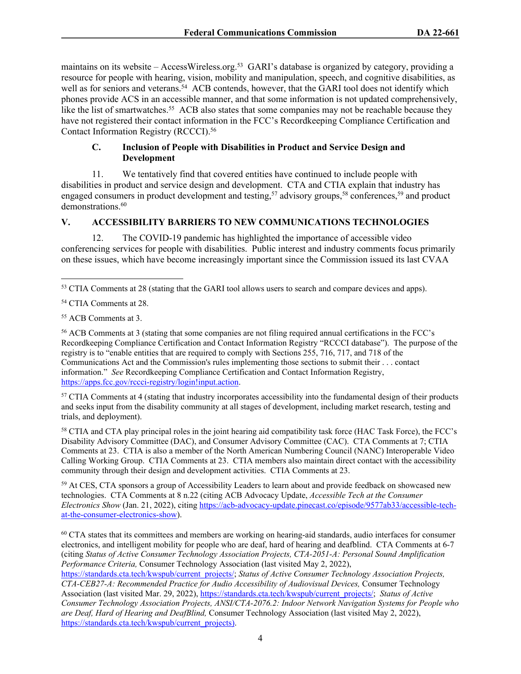maintains on its website – AccessWireless.org.<sup>53</sup> GARI's database is organized by category, providing a resource for people with hearing, vision, mobility and manipulation, speech, and cognitive disabilities, as well as for seniors and veterans.<sup>54</sup> ACB contends, however, that the GARI tool does not identify which phones provide ACS in an accessible manner, and that some information is not updated comprehensively, like the list of smartwatches.<sup>55</sup> ACB also states that some companies may not be reachable because they have not registered their contact information in the FCC's Recordkeeping Compliance Certification and Contact Information Registry (RCCCI).<sup>56</sup>

# **C. Inclusion of People with Disabilities in Product and Service Design and Development**

11. We tentatively find that covered entities have continued to include people with disabilities in product and service design and development. CTA and CTIA explain that industry has engaged consumers in product development and testing,<sup>57</sup> advisory groups,<sup>58</sup> conferences,<sup>59</sup> and product demonstrations.<sup>60</sup>

# **V. ACCESSIBILITY BARRIERS TO NEW COMMUNICATIONS TECHNOLOGIES**

12. The COVID-19 pandemic has highlighted the importance of accessible video conferencing services for people with disabilities. Public interest and industry comments focus primarily on these issues, which have become increasingly important since the Commission issued its last CVAA

<sup>57</sup> CTIA Comments at 4 (stating that industry incorporates accessibility into the fundamental design of their products and seeks input from the disability community at all stages of development, including market research, testing and trials, and deployment).

<sup>58</sup> CTIA and CTA play principal roles in the joint hearing aid compatibility task force (HAC Task Force), the FCC's Disability Advisory Committee (DAC), and Consumer Advisory Committee (CAC). CTA Comments at 7; CTIA Comments at 23. CTIA is also a member of the North American Numbering Council (NANC) Interoperable Video Calling Working Group. CTIA Comments at 23. CTIA members also maintain direct contact with the accessibility community through their design and development activities. CTIA Comments at 23.

<sup>59</sup> At CES, CTA sponsors a group of Accessibility Leaders to learn about and provide feedback on showcased new technologies. CTA Comments at 8 n.22 (citing ACB Advocacy Update, *Accessible Tech at the Consumer Electronics Show* (Jan. 21, 2022), citing [https://acb-advocacy-update.pinecast.co/episode/9577ab33/accessible-tech](https://acb-advocacy-update.pinecast.co/episode/9577ab33/accessible-tech-at-the-consumer-electronics-show)[at-the-consumer-electronics-show](https://acb-advocacy-update.pinecast.co/episode/9577ab33/accessible-tech-at-the-consumer-electronics-show)).

<sup>60</sup> CTA states that its committees and members are working on hearing-aid standards, audio interfaces for consumer electronics, and intelligent mobility for people who are deaf, hard of hearing and deafblind. CTA Comments at 6-7 (citing *Status of Active Consumer Technology Association Projects, CTA-2051-A: Personal Sound Amplification Performance Criteria,* Consumer Technology Association (last visited May 2, 2022),

<sup>53</sup> CTIA Comments at 28 (stating that the GARI tool allows users to search and compare devices and apps).

<sup>54</sup> CTIA Comments at 28.

<sup>55</sup> ACB Comments at 3.

<sup>56</sup> ACB Comments at 3 (stating that some companies are not filing required annual certifications in the FCC's Recordkeeping Compliance Certification and Contact Information Registry "RCCCI database"). The purpose of the registry is to "enable entities that are required to comply with Sections 255, 716, 717, and 718 of the Communications Act and the Commission's rules implementing those sections to submit their . . . contact information." *See* Recordkeeping Compliance Certification and Contact Information Registry, [https://apps.fcc.gov/rccci-registry/login!input.action.](https://apps.fcc.gov/rccci-registry/login!input.action)

[https://standards.cta.tech/kwspub/current\\_projects/](https://standards.cta.tech/kwspub/current_projects/); *Status of Active Consumer Technology Association Projects, CTA-CEB27-A: Recommended Practice for Audio Accessibility of Audiovisual Devices,* Consumer Technology Association (last visited Mar. 29, 2022), [https://standards.cta.tech/kwspub/current\\_projects/;](https://standards.cta.tech/kwspub/current_projects/) *Status of Active Consumer Technology Association Projects, ANSI/CTA-2076.2: Indoor Network Navigation Systems for People who are Deaf, Hard of Hearing and DeafBlind,* Consumer Technology Association (last visited May 2, 2022), [https://standards.cta.tech/kwspub/current\\_projects\)](https://standards.cta.tech/kwspub/current_projects).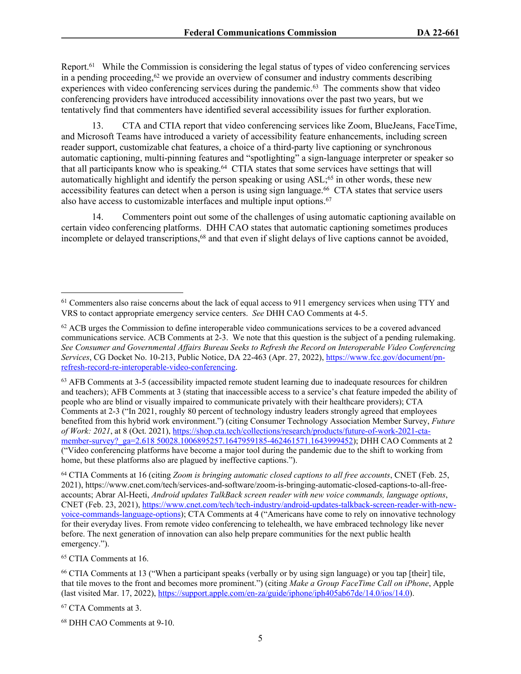Report.<sup>61</sup> While the Commission is considering the legal status of types of video conferencing services in a pending proceeding, $62$  we provide an overview of consumer and industry comments describing experiences with video conferencing services during the pandemic.<sup>63</sup> The comments show that video conferencing providers have introduced accessibility innovations over the past two years, but we tentatively find that commenters have identified several accessibility issues for further exploration.

13. CTA and CTIA report that video conferencing services like Zoom, BlueJeans, FaceTime, and Microsoft Teams have introduced a variety of accessibility feature enhancements, including screen reader support, customizable chat features, a choice of a third-party live captioning or synchronous automatic captioning, multi-pinning features and "spotlighting" a sign-language interpreter or speaker so that all participants know who is speaking.<sup>64</sup> CTIA states that some services have settings that will automatically highlight and identify the person speaking or using ASL;<sup>65</sup> in other words, these new accessibility features can detect when a person is using sign language.<sup>66</sup> CTA states that service users also have access to customizable interfaces and multiple input options.<sup>67</sup>

14. Commenters point out some of the challenges of using automatic captioning available on certain video conferencing platforms. DHH CAO states that automatic captioning sometimes produces incomplete or delayed transcriptions,<sup>68</sup> and that even if slight delays of live captions cannot be avoided,

<sup>64</sup> CTIA Comments at 16 (citing *Zoom is bringing automatic closed captions to all free accounts*, CNET (Feb. 25, 2021), https://www.cnet.com/tech/services-and-software/zoom-is-bringing-automatic-closed-captions-to-all-freeaccounts; Abrar Al-Heeti, *Android updates TalkBack screen reader with new voice commands, language options*, CNET (Feb. 23, 2021), [https://www.cnet.com/tech/tech-industry/android-updates-talkback-screen-reader-with-new](https://www.cnet.com/tech/tech-industry/android-updates-talkback-screen-reader-with-new-voice-commands-language-options)[voice-commands-language-options\)](https://www.cnet.com/tech/tech-industry/android-updates-talkback-screen-reader-with-new-voice-commands-language-options); CTA Comments at 4 ("Americans have come to rely on innovative technology for their everyday lives. From remote video conferencing to telehealth, we have embraced technology like never before. The next generation of innovation can also help prepare communities for the next public health emergency.").

<sup>65</sup> CTIA Comments at 16.

<sup>&</sup>lt;sup>61</sup> Commenters also raise concerns about the lack of equal access to 911 emergency services when using TTY and VRS to contact appropriate emergency service centers. *See* DHH CAO Comments at 4-5.

 $62$  ACB urges the Commission to define interoperable video communications services to be a covered advanced communications service. ACB Comments at 2-3. We note that this question is the subject of a pending rulemaking. *See Consumer and Governmental Affairs Bureau Seeks to Refresh the Record on Interoperable Video Conferencing Services*, CG Docket No. 10-213, Public Notice, DA 22-463 (Apr. 27, 2022), [https://www.fcc.gov/document/pn](https://www.fcc.gov/document/pn-refresh-record-re-interoperable-video-conferencing)[refresh-record-re-interoperable-video-conferencing.](https://www.fcc.gov/document/pn-refresh-record-re-interoperable-video-conferencing)

<sup>63</sup> AFB Comments at 3-5 (accessibility impacted remote student learning due to inadequate resources for children and teachers); AFB Comments at 3 (stating that inaccessible access to a service's chat feature impeded the ability of people who are blind or visually impaired to communicate privately with their healthcare providers); CTA Comments at 2-3 ("In 2021, roughly 80 percent of technology industry leaders strongly agreed that employees benefited from this hybrid work environment.") (citing Consumer Technology Association Member Survey, *Future of Work: 2021*, at 8 (Oct. 2021), [https://shop.cta.tech/collections/research/products/future-of-work-2021-cta](https://shop.cta.tech/collections/research/products/future-of-work-2021-cta-member-survey?_ga=2.618%2050028.1006895257.1647959185-462461571.1643999452)[member-survey?\\_ga=2.618 50028.1006895257.1647959185-462461571.1643999452](https://shop.cta.tech/collections/research/products/future-of-work-2021-cta-member-survey?_ga=2.618%2050028.1006895257.1647959185-462461571.1643999452)); DHH CAO Comments at 2 ("Video conferencing platforms have become a major tool during the pandemic due to the shift to working from home, but these platforms also are plagued by ineffective captions.").

<sup>66</sup> CTIA Comments at 13 ("When a participant speaks (verbally or by using sign language) or you tap [their] tile, that tile moves to the front and becomes more prominent.") (citing *Make a Group FaceTime Call on iPhone*, Apple (last visited Mar. 17, 2022), <https://support.apple.com/en-za/guide/iphone/iph405ab67de/14.0/ios/14.0>).

<sup>67</sup> CTA Comments at 3.

<sup>68</sup> DHH CAO Comments at 9-10.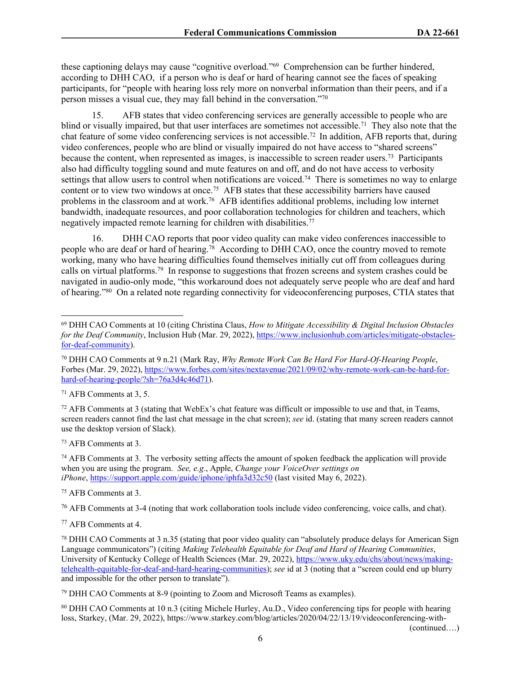these captioning delays may cause "cognitive overload."<sup>69</sup> Comprehension can be further hindered, according to DHH CAO, if a person who is deaf or hard of hearing cannot see the faces of speaking participants, for "people with hearing loss rely more on nonverbal information than their peers, and if a person misses a visual cue, they may fall behind in the conversation."<sup>70</sup>

15. AFB states that video conferencing services are generally accessible to people who are blind or visually impaired, but that user interfaces are sometimes not accessible.<sup>71</sup> They also note that the chat feature of some video conferencing services is not accessible.<sup>72</sup> In addition, AFB reports that, during video conferences, people who are blind or visually impaired do not have access to "shared screens" because the content, when represented as images, is inaccessible to screen reader users.<sup>73</sup> Participants also had difficulty toggling sound and mute features on and off, and do not have access to verbosity settings that allow users to control when notifications are voiced.<sup>74</sup> There is sometimes no way to enlarge content or to view two windows at once.<sup>75</sup> AFB states that these accessibility barriers have caused problems in the classroom and at work.<sup>76</sup> AFB identifies additional problems, including low internet bandwidth, inadequate resources, and poor collaboration technologies for children and teachers, which negatively impacted remote learning for children with disabilities.<sup>77</sup>

16. DHH CAO reports that poor video quality can make video conferences inaccessible to people who are deaf or hard of hearing.<sup>78</sup> According to DHH CAO, once the country moved to remote working, many who have hearing difficulties found themselves initially cut off from colleagues during calls on virtual platforms.<sup>79</sup> In response to suggestions that frozen screens and system crashes could be navigated in audio-only mode, "this workaround does not adequately serve people who are deaf and hard of hearing."<sup>80</sup> On a related note regarding connectivity for videoconferencing purposes, CTIA states that

<sup>71</sup> AFB Comments at 3, 5.

 $72$  AFB Comments at 3 (stating that Web Ex's chat feature was difficult or impossible to use and that, in Teams, screen readers cannot find the last chat message in the chat screen); *see* id. (stating that many screen readers cannot use the desktop version of Slack).

<sup>73</sup> AFB Comments at 3.

<sup>74</sup> AFB Comments at 3. The verbosity setting affects the amount of spoken feedback the application will provide when you are using the program. *See, e.g.*, Apple, *Change your VoiceOver settings on iPhone*,<https://support.apple.com/guide/iphone/iphfa3d32c50>(last visited May 6, 2022).

<sup>75</sup> AFB Comments at 3.

<sup>76</sup> AFB Comments at 3-4 (noting that work collaboration tools include video conferencing, voice calls, and chat).

(continued….)

<sup>69</sup> DHH CAO Comments at 10 (citing Christina Claus, *How to Mitigate Accessibility & Digital Inclusion Obstacles for the Deaf Community*, Inclusion Hub (Mar. 29, 2022), [https://www.inclusionhub.com/articles/mitigate-obstacles](https://www.inclusionhub.com/articles/mitigate-obstacles-for-deaf-community)[for-deaf-community](https://www.inclusionhub.com/articles/mitigate-obstacles-for-deaf-community)).

<sup>70</sup> DHH CAO Comments at 9 n.21 (Mark Ray, *Why Remote Work Can Be Hard For Hard-Of-Hearing People*, Forbes (Mar. 29, 2022), [https://www.forbes.com/sites/nextavenue/2021/09/02/why-remote-work-can-be-hard-for](https://www.forbes.com/sites/nextavenue/2021/09/02/why-remote-work-can-be-hard-for-hard-of-hearing-people/?sh=76a3d4c46d71)[hard-of-hearing-people/?sh=76a3d4c46d71](https://www.forbes.com/sites/nextavenue/2021/09/02/why-remote-work-can-be-hard-for-hard-of-hearing-people/?sh=76a3d4c46d71)).

<sup>77</sup> AFB Comments at 4.

<sup>78</sup> DHH CAO Comments at 3 n.35 (stating that poor video quality can "absolutely produce delays for American Sign Language communicators") (citing *Making Telehealth Equitable for Deaf and Hard of Hearing Communities*, University of Kentucky College of Health Sciences (Mar. 29, 2022), [https://www.uky.edu/chs/about/news/making](https://www.uky.edu/chs/about/news/making-telehealth-equitable-for-deaf-and-hard-hearing-communities)[telehealth-equitable-for-deaf-and-hard-hearing-communities\)](https://www.uky.edu/chs/about/news/making-telehealth-equitable-for-deaf-and-hard-hearing-communities); *see* id at 3 (noting that a "screen could end up blurry and impossible for the other person to translate").

<sup>79</sup> DHH CAO Comments at 8-9 (pointing to Zoom and Microsoft Teams as examples).

<sup>80</sup> DHH CAO Comments at 10 n.3 (citing Michele Hurley, Au.D., Video conferencing tips for people with hearing loss, Starkey, (Mar. 29, 2022), https://www.starkey.com/blog/articles/2020/04/22/13/19/videoconferencing-with-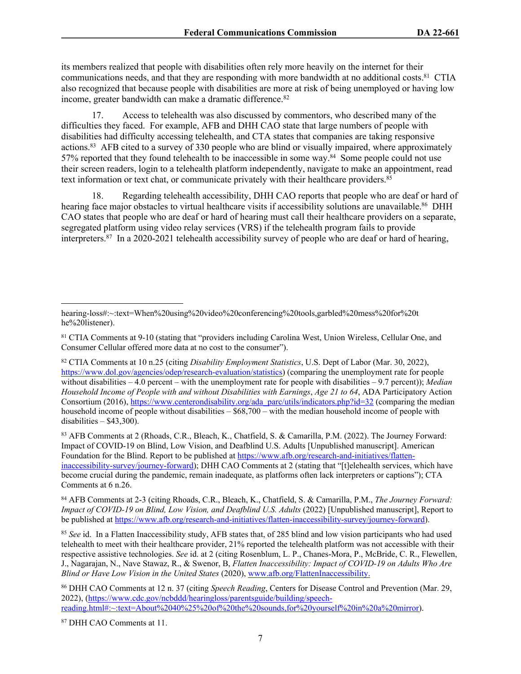its members realized that people with disabilities often rely more heavily on the internet for their communications needs, and that they are responding with more bandwidth at no additional costs.<sup>81</sup> CTIA also recognized that because people with disabilities are more at risk of being unemployed or having low income, greater bandwidth can make a dramatic difference.<sup>82</sup>

17. Access to telehealth was also discussed by commentors, who described many of the difficulties they faced. For example, AFB and DHH CAO state that large numbers of people with disabilities had difficulty accessing telehealth, and CTA states that companies are taking responsive actions.<sup>83</sup> AFB cited to a survey of 330 people who are blind or visually impaired, where approximately 57% reported that they found telehealth to be inaccessible in some way.<sup>84</sup> Some people could not use their screen readers, login to a telehealth platform independently, navigate to make an appointment, read text information or text chat, or communicate privately with their healthcare providers.<sup>85</sup>

18. Regarding telehealth accessibility, DHH CAO reports that people who are deaf or hard of hearing face major obstacles to virtual healthcare visits if accessibility solutions are unavailable.<sup>86</sup> DHH CAO states that people who are deaf or hard of hearing must call their healthcare providers on a separate, segregated platform using video relay services (VRS) if the telehealth program fails to provide interpreters.<sup>87</sup> In a 2020-2021 telehealth accessibility survey of people who are deaf or hard of hearing,

<sup>83</sup> AFB Comments at 2 (Rhoads, C.R., Bleach, K., Chatfield, S. & Camarilla, P.M. (2022). The Journey Forward: Impact of COVID-19 on Blind, Low Vision, and Deafblind U.S. Adults [Unpublished manuscript]. American Foundation for the Blind. Report to be published at [https://www.afb.org/research-and-initiatives/flatten](https://www.afb.org/research-and-initiatives/flatten-inaccessibility-survey/journey-forward)[inaccessibility-survey/journey-forward\)](https://www.afb.org/research-and-initiatives/flatten-inaccessibility-survey/journey-forward); DHH CAO Comments at 2 (stating that "[t]elehealth services, which have become crucial during the pandemic, remain inadequate, as platforms often lack interpreters or captions"); CTA Comments at 6 n.26.

<sup>84</sup> AFB Comments at 2-3 (citing Rhoads, C.R., Bleach, K., Chatfield, S. & Camarilla, P.M., *The Journey Forward: Impact of COVID-19 on Blind, Low Vision, and Deafblind U.S. Adults* (2022) [Unpublished manuscript], Report to be published at<https://www.afb.org/research-and-initiatives/flatten-inaccessibility-survey/journey-forward>).

<sup>85</sup> *See* id. In a Flatten Inaccessibility study, AFB states that, of 285 blind and low vision participants who had used telehealth to meet with their healthcare provider, 21% reported the telehealth platform was not accessible with their respective assistive technologies. *See* id. at 2 (citing Rosenblum, L. P., Chanes-Mora, P., McBride, C. R., Flewellen, J., Nagarajan, N., Nave Stawaz, R., & Swenor, B, *Flatten Inaccessibility: Impact of COVID-19 on Adults Who Are Blind or Have Low Vision in the United States* (2020), [www.afb.org/FlattenInaccessibility.](http://www.afb.org/FlattenInaccessibility)

<sup>86</sup> DHH CAO Comments at 12 n. 37 (citing *Speech Reading*, Centers for Disease Control and Prevention (Mar. 29, 2022), ([https://www.cdc.gov/ncbddd/hearingloss/parentsguide/building/speech](https://www.cdc.gov/ncbddd/hearingloss/parentsguide/building/speech-reading.html#:~:text=About%2040%25%20of%20the%20sounds,for%20yourself%20in%20a%20mirror)[reading.html#:~:text=About%2040%25%20of%20the%20sounds,for%20yourself%20in%20a%20mirror](https://www.cdc.gov/ncbddd/hearingloss/parentsguide/building/speech-reading.html#:~:text=About%2040%25%20of%20the%20sounds,for%20yourself%20in%20a%20mirror)).

87 DHH CAO Comments at 11.

hearing-loss#:~:text=When%20using%20video%20conferencing%20tools,garbled%20mess%20for%20t he%20listener).

<sup>81</sup> CTIA Comments at 9-10 (stating that "providers including Carolina West, Union Wireless, Cellular One, and Consumer Cellular offered more data at no cost to the consumer").

<sup>82</sup> CTIA Comments at 10 n.25 (citing *Disability Employment Statistics*, U.S. Dept of Labor (Mar. 30, 2022), [https://www.dol.gov/agencies/odep/research-evaluation/statistics\)](https://www.dol.gov/agencies/odep/research-evaluation/statistics) (comparing the unemployment rate for people without disabilities – 4.0 percent – with the unemployment rate for people with disabilities – 9.7 percent)); *Median Household Income of People with and without Disabilities with Earnings*, *Age 21 to 64*, ADA Participatory Action Consortium (2016), [https://www.centerondisability.org/ada\\_parc/utils/indicators.php?id=32](https://www.centerondisability.org/ada_parc/utils/indicators.php?id=32) (comparing the median household income of people without disabilities – \$68,700 – with the median household income of people with disabilities  $-$  \$43,300).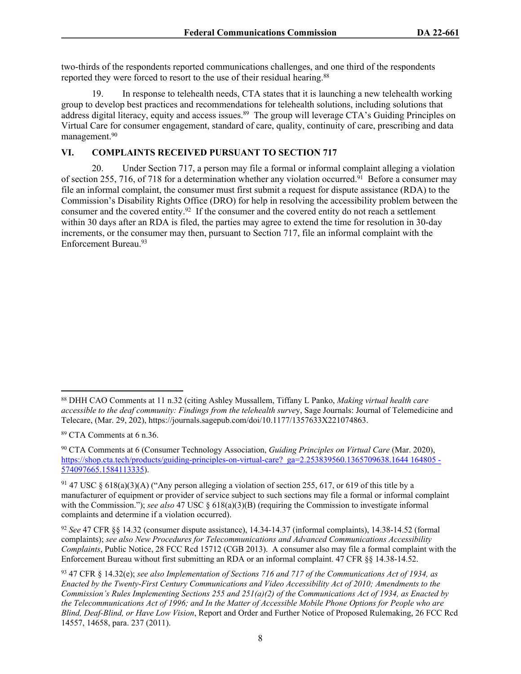two-thirds of the respondents reported communications challenges, and one third of the respondents reported they were forced to resort to the use of their residual hearing.<sup>88</sup>

19. In response to telehealth needs, CTA states that it is launching a new telehealth working group to develop best practices and recommendations for telehealth solutions, including solutions that address digital literacy, equity and access issues.<sup>89</sup> The group will leverage CTA's Guiding Principles on Virtual Care for consumer engagement, standard of care, quality, continuity of care, prescribing and data management.<sup>90</sup>

# **VI. COMPLAINTS RECEIVED PURSUANT TO SECTION 717**

20. Under Section 717, a person may file a formal or informal complaint alleging a violation of section 255, 716, of 718 for a determination whether any violation occurred.<sup>91</sup> Before a consumer may file an informal complaint, the consumer must first submit a request for dispute assistance (RDA) to the Commission's Disability Rights Office (DRO) for help in resolving the accessibility problem between the consumer and the covered entity.<sup>92</sup> If the consumer and the covered entity do not reach a settlement within 30 days after an RDA is filed, the parties may agree to extend the time for resolution in 30-day increments, or the consumer may then, pursuant to Section 717, file an informal complaint with the Enforcement Bureau.<sup>93</sup>

<sup>88</sup> DHH CAO Comments at 11 n.32 (citing Ashley Mussallem, Tiffany L Panko, *Making virtual health care accessible to the deaf community: Findings from the telehealth surve*y, Sage Journals: Journal of Telemedicine and Telecare, (Mar. 29, 202), https://journals.sagepub.com/doi/10.1177/1357633X221074863.

<sup>89</sup> CTA Comments at 6 n.36.

<sup>90</sup> CTA Comments at 6 (Consumer Technology Association, *Guiding Principles on Virtual Care* (Mar. 2020), [https://shop.cta.tech/products/guiding-principles-on-virtual-care?\\_ga=2.253839560.1365709638.1644 164805 -](https://shop.cta.tech/products/guiding-principles-on-virtual-care?_ga=2.253839560.1365709638.1644%20164805%20-574097665.1584113335) [574097665.1584113335\)](https://shop.cta.tech/products/guiding-principles-on-virtual-care?_ga=2.253839560.1365709638.1644%20164805%20-574097665.1584113335).

<sup>91</sup> 47 USC § 618(a)(3)(A) ("Any person alleging a violation of section 255, 617, or 619 of this title by a manufacturer of equipment or provider of service subject to such sections may file a formal or informal complaint with the Commission."); *see also* 47 USC § 618(a)(3)(B) (requiring the Commission to investigate informal complaints and determine if a violation occurred).

<sup>92</sup> *See* 47 CFR §§ 14.32 (consumer dispute assistance), 14.34-14.37 (informal complaints), 14.38-14.52 (formal complaints); *see also New Procedures for Telecommunications and Advanced Communications Accessibility Complaints*, Public Notice, 28 FCC Rcd 15712 (CGB 2013). A consumer also may file a formal complaint with the Enforcement Bureau without first submitting an RDA or an informal complaint. 47 CFR §§ 14.38-14.52.

<sup>93</sup> 47 CFR § 14.32(e); *see also Implementation of Sections 716 and 717 of the Communications Act of 1934, as Enacted by the Twenty-First Century Communications and Video Accessibility Act of 2010; Amendments to the Commission's Rules Implementing Sections 255 and 251(a)(2) of the Communications Act of 1934, as Enacted by the Telecommunications Act of 1996; and In the Matter of Accessible Mobile Phone Options for People who are Blind, Deaf-Blind, or Have Low Vision*, Report and Order and Further Notice of Proposed Rulemaking, 26 FCC Rcd 14557, 14658, para. 237 (2011).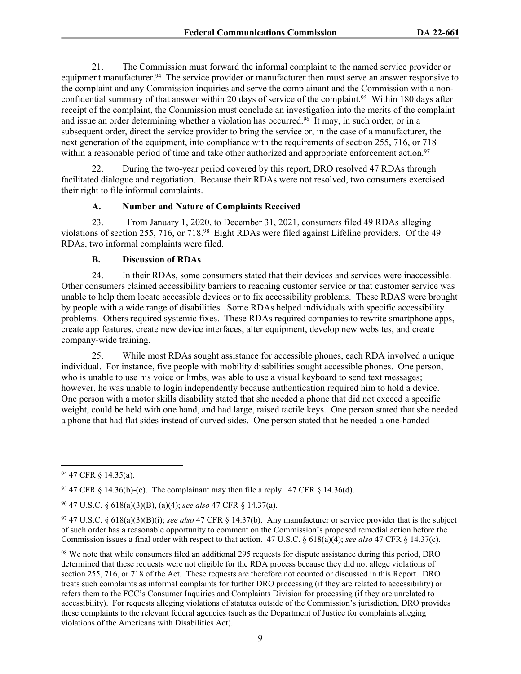21. The Commission must forward the informal complaint to the named service provider or equipment manufacturer.<sup>94</sup> The service provider or manufacturer then must serve an answer responsive to the complaint and any Commission inquiries and serve the complainant and the Commission with a nonconfidential summary of that answer within 20 days of service of the complaint.<sup>95</sup> Within 180 days after receipt of the complaint, the Commission must conclude an investigation into the merits of the complaint and issue an order determining whether a violation has occurred.<sup>96</sup> It may, in such order, or in a subsequent order, direct the service provider to bring the service or, in the case of a manufacturer, the next generation of the equipment, into compliance with the requirements of section 255, 716, or 718 within a reasonable period of time and take other authorized and appropriate enforcement action.<sup>97</sup>

22. During the two-year period covered by this report, DRO resolved 47 RDAs through facilitated dialogue and negotiation. Because their RDAs were not resolved, two consumers exercised their right to file informal complaints.

# **A. Number and Nature of Complaints Received**

23. From January 1, 2020, to December 31, 2021, consumers filed 49 RDAs alleging violations of section 255, 716, or 718.<sup>98</sup> Eight RDAs were filed against Lifeline providers. Of the 49 RDAs, two informal complaints were filed.

#### **B. Discussion of RDAs**

24. In their RDAs, some consumers stated that their devices and services were inaccessible. Other consumers claimed accessibility barriers to reaching customer service or that customer service was unable to help them locate accessible devices or to fix accessibility problems. These RDAS were brought by people with a wide range of disabilities. Some RDAs helped individuals with specific accessibility problems. Others required systemic fixes. These RDAs required companies to rewrite smartphone apps, create app features, create new device interfaces, alter equipment, develop new websites, and create company-wide training.

25. While most RDAs sought assistance for accessible phones, each RDA involved a unique individual. For instance, five people with mobility disabilities sought accessible phones. One person, who is unable to use his voice or limbs, was able to use a visual keyboard to send text messages; however, he was unable to login independently because authentication required him to hold a device. One person with a motor skills disability stated that she needed a phone that did not exceed a specific weight, could be held with one hand, and had large, raised tactile keys. One person stated that she needed a phone that had flat sides instead of curved sides. One person stated that he needed a one-handed

<sup>94</sup> 47 CFR § 14.35(a).

<sup>&</sup>lt;sup>95</sup> 47 CFR  $\frac{1}{2}$  14.36(b)-(c). The complainant may then file a reply. 47 CFR  $\frac{1}{2}$  14.36(d).

<sup>96</sup> 47 U.S.C. § 618(a)(3)(B), (a)(4); *see also* 47 CFR § 14.37(a).

<sup>97</sup> 47 U.S.C. § 618(a)(3)(B)(i); *see also* 47 CFR § 14.37(b). Any manufacturer or service provider that is the subject of such order has a reasonable opportunity to comment on the Commission's proposed remedial action before the Commission issues a final order with respect to that action. 47 U.S.C. § 618(a)(4); *see also* 47 CFR § 14.37(c).

<sup>98</sup> We note that while consumers filed an additional 295 requests for dispute assistance during this period, DRO determined that these requests were not eligible for the RDA process because they did not allege violations of section 255, 716, or 718 of the Act. These requests are therefore not counted or discussed in this Report. DRO treats such complaints as informal complaints for further DRO processing (if they are related to accessibility) or refers them to the FCC's Consumer Inquiries and Complaints Division for processing (if they are unrelated to accessibility). For requests alleging violations of statutes outside of the Commission's jurisdiction, DRO provides these complaints to the relevant federal agencies (such as the Department of Justice for complaints alleging violations of the Americans with Disabilities Act).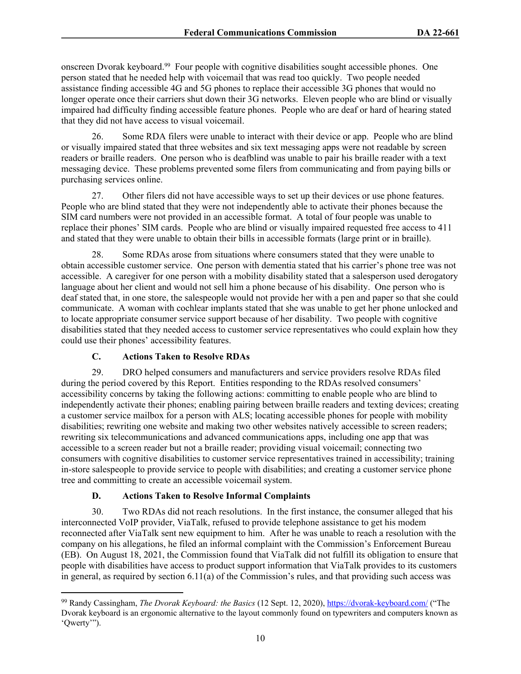onscreen Dvorak keyboard.<sup>99</sup> Four people with cognitive disabilities sought accessible phones. One person stated that he needed help with voicemail that was read too quickly. Two people needed assistance finding accessible 4G and 5G phones to replace their accessible 3G phones that would no longer operate once their carriers shut down their 3G networks. Eleven people who are blind or visually impaired had difficulty finding accessible feature phones. People who are deaf or hard of hearing stated that they did not have access to visual voicemail.

26. Some RDA filers were unable to interact with their device or app. People who are blind or visually impaired stated that three websites and six text messaging apps were not readable by screen readers or braille readers. One person who is deafblind was unable to pair his braille reader with a text messaging device. These problems prevented some filers from communicating and from paying bills or purchasing services online.

27. Other filers did not have accessible ways to set up their devices or use phone features. People who are blind stated that they were not independently able to activate their phones because the SIM card numbers were not provided in an accessible format. A total of four people was unable to replace their phones' SIM cards. People who are blind or visually impaired requested free access to 411 and stated that they were unable to obtain their bills in accessible formats (large print or in braille).

28. Some RDAs arose from situations where consumers stated that they were unable to obtain accessible customer service. One person with dementia stated that his carrier's phone tree was not accessible. A caregiver for one person with a mobility disability stated that a salesperson used derogatory language about her client and would not sell him a phone because of his disability. One person who is deaf stated that, in one store, the salespeople would not provide her with a pen and paper so that she could communicate. A woman with cochlear implants stated that she was unable to get her phone unlocked and to locate appropriate consumer service support because of her disability. Two people with cognitive disabilities stated that they needed access to customer service representatives who could explain how they could use their phones' accessibility features.

# **C. Actions Taken to Resolve RDAs**

29. DRO helped consumers and manufacturers and service providers resolve RDAs filed during the period covered by this Report. Entities responding to the RDAs resolved consumers' accessibility concerns by taking the following actions: committing to enable people who are blind to independently activate their phones; enabling pairing between braille readers and texting devices; creating a customer service mailbox for a person with ALS; locating accessible phones for people with mobility disabilities; rewriting one website and making two other websites natively accessible to screen readers; rewriting six telecommunications and advanced communications apps, including one app that was accessible to a screen reader but not a braille reader; providing visual voicemail; connecting two consumers with cognitive disabilities to customer service representatives trained in accessibility; training in-store salespeople to provide service to people with disabilities; and creating a customer service phone tree and committing to create an accessible voicemail system.

# **D. Actions Taken to Resolve Informal Complaints**

30. Two RDAs did not reach resolutions. In the first instance, the consumer alleged that his interconnected VoIP provider, ViaTalk, refused to provide telephone assistance to get his modem reconnected after ViaTalk sent new equipment to him. After he was unable to reach a resolution with the company on his allegations, he filed an informal complaint with the Commission's Enforcement Bureau (EB). On August 18, 2021, the Commission found that ViaTalk did not fulfill its obligation to ensure that people with disabilities have access to product support information that ViaTalk provides to its customers in general, as required by section 6.11(a) of the Commission's rules, and that providing such access was

<sup>99</sup> Randy Cassingham, *The Dvorak Keyboard: the Basics* (12 Sept. 12, 2020), <https://dvorak-keyboard.com/> ("The Dvorak keyboard is an ergonomic alternative to the layout commonly found on typewriters and computers known as 'Qwerty'").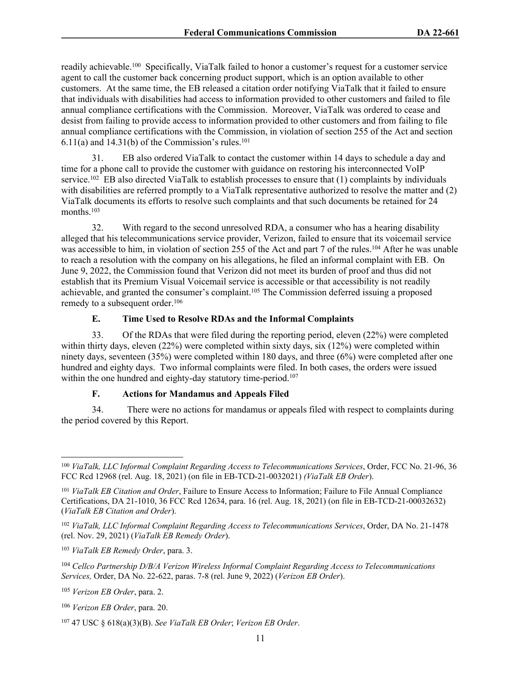readily achievable.<sup>100</sup> Specifically, ViaTalk failed to honor a customer's request for a customer service agent to call the customer back concerning product support, which is an option available to other customers. At the same time, the EB released a citation order notifying ViaTalk that it failed to ensure that individuals with disabilities had access to information provided to other customers and failed to file annual compliance certifications with the Commission. Moreover, ViaTalk was ordered to cease and desist from failing to provide access to information provided to other customers and from failing to file annual compliance certifications with the Commission, in violation of section 255 of the Act and section  $6.11(a)$  and  $14.31(b)$  of the Commission's rules.<sup>101</sup>

31. EB also ordered ViaTalk to contact the customer within 14 days to schedule a day and time for a phone call to provide the customer with guidance on restoring his interconnected VoIP service.<sup>102</sup> EB also directed ViaTalk to establish processes to ensure that (1) complaints by individuals with disabilities are referred promptly to a ViaTalk representative authorized to resolve the matter and (2) ViaTalk documents its efforts to resolve such complaints and that such documents be retained for 24 months.<sup>103</sup>

32. With regard to the second unresolved RDA, a consumer who has a hearing disability alleged that his telecommunications service provider, Verizon, failed to ensure that its voicemail service was accessible to him, in violation of section 255 of the Act and part 7 of the rules.<sup>104</sup> After he was unable to reach a resolution with the company on his allegations, he filed an informal complaint with EB. On June 9, 2022, the Commission found that Verizon did not meet its burden of proof and thus did not establish that its Premium Visual Voicemail service is accessible or that accessibility is not readily achievable, and granted the consumer's complaint.<sup>105</sup> The Commission deferred issuing a proposed remedy to a subsequent order.<sup>106</sup>

# **E. Time Used to Resolve RDAs and the Informal Complaints**

33. Of the RDAs that were filed during the reporting period, eleven (22%) were completed within thirty days, eleven (22%) were completed within sixty days, six (12%) were completed within ninety days, seventeen (35%) were completed within 180 days, and three (6%) were completed after one hundred and eighty days. Two informal complaints were filed. In both cases, the orders were issued within the one hundred and eighty-day statutory time-period.<sup>107</sup>

#### **F. Actions for Mandamus and Appeals Filed**

34. There were no actions for mandamus or appeals filed with respect to complaints during the period covered by this Report.

<sup>100</sup> *ViaTalk, LLC Informal Complaint Regarding Access to Telecommunications Services*, Order, FCC No. 21-96, 36 FCC Rcd 12968 (rel. Aug. 18, 2021) (on file in EB-TCD-21-0032021) *(ViaTalk EB Order*).

<sup>101</sup> *ViaTalk EB Citation and Order*, Failure to Ensure Access to Information; Failure to File Annual Compliance Certifications, DA 21-1010, 36 FCC Rcd 12634, para. 16 (rel. Aug. 18, 2021) (on file in EB-TCD-21-00032632) (*ViaTalk EB Citation and Order*).

<sup>102</sup> *ViaTalk, LLC Informal Complaint Regarding Access to Telecommunications Services*, Order, DA No. 21-1478 (rel. Nov. 29, 2021) (*ViaTalk EB Remedy Order*).

<sup>103</sup> *ViaTalk EB Remedy Order*, para. 3.

<sup>104</sup> *Cellco Partnership D/B/A Verizon Wireless Informal Complaint Regarding Access to Telecommunications Services,* Order, DA No. 22-622, paras. 7-8 (rel. June 9, 2022) (*Verizon EB Order*).

<sup>105</sup> *Verizon EB Order*, para. 2.

<sup>106</sup> *Verizon EB Order*, para. 20.

<sup>107</sup> 47 USC § 618(a)(3)(B). *See ViaTalk EB Order*; *Verizon EB Order*.